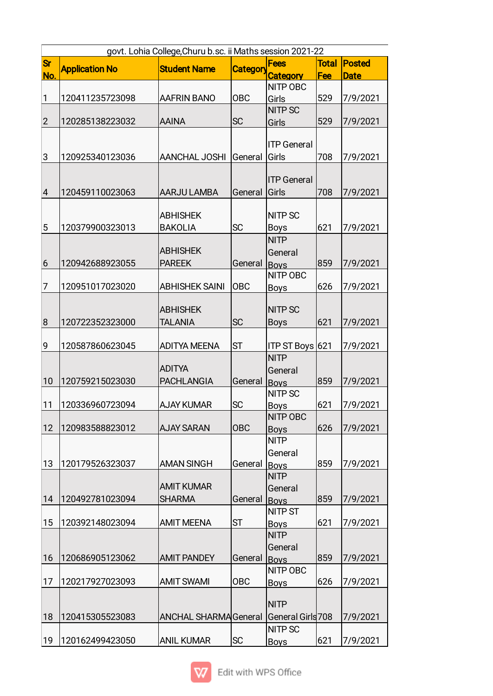|                | govt. Lohia College, Churu b.sc. ii Maths session 2021-22 |                             |            |                    |       |               |  |
|----------------|-----------------------------------------------------------|-----------------------------|------------|--------------------|-------|---------------|--|
| <b>Sr</b>      | <b>Application No</b>                                     | <b>Student Name</b>         | Category   | <b>Fees</b>        | Total | <b>Posted</b> |  |
| No.            |                                                           |                             |            | <b>Category</b>    | Fee   | <b>Date</b>   |  |
|                |                                                           |                             |            | NITP OBC           |       |               |  |
| $\mathbf{1}$   | 120411235723098                                           | <b>AAFRIN BANO</b>          | <b>OBC</b> | Girls              | 529   | 7/9/2021      |  |
|                |                                                           |                             |            | <b>NITP SC</b>     |       |               |  |
| $\overline{2}$ | 120285138223032                                           | <b>AAINA</b>                | <b>SC</b>  | Girls              | 529   | 7/9/2021      |  |
|                |                                                           |                             |            |                    |       |               |  |
|                |                                                           |                             |            | <b>ITP General</b> |       |               |  |
| 3              | 120925340123036                                           | <b>AANCHAL JOSHI</b>        | General    | Girls              | 708   | 7/9/2021      |  |
|                |                                                           |                             |            |                    |       |               |  |
|                |                                                           |                             |            | <b>ITP General</b> |       |               |  |
| $\overline{4}$ | 120459110023063                                           | <b>AARJU LAMBA</b>          | General    | Girls              | 708   | 7/9/2021      |  |
|                |                                                           |                             |            |                    |       |               |  |
|                |                                                           | <b>ABHISHEK</b>             |            | <b>NITP SC</b>     |       |               |  |
| 5              | 120379900323013                                           | <b>BAKOLIA</b>              | <b>SC</b>  | <b>Boys</b>        | 621   | 7/9/2021      |  |
|                |                                                           |                             |            | <b>NITP</b>        |       |               |  |
|                |                                                           | <b>ABHISHEK</b>             |            | General            |       |               |  |
| $\vert 6$      | 120942688923055                                           | <b>PAREEK</b>               | General    | <b>Boys</b>        | 859   | 7/9/2021      |  |
|                |                                                           |                             |            | NITP OBC           |       |               |  |
| 7              | 120951017023020                                           | <b>ABHISHEK SAINI</b>       | <b>OBC</b> | <b>Boys</b>        | 626   | 7/9/2021      |  |
|                |                                                           |                             |            |                    |       |               |  |
|                |                                                           | <b>ABHISHEK</b>             |            | <b>NITP SC</b>     |       |               |  |
| 8              | 120722352323000                                           | <b>TALANIA</b>              | <b>SC</b>  | <b>Boys</b>        | 621   | 7/9/2021      |  |
|                |                                                           |                             |            |                    |       |               |  |
| 9              | 120587860623045                                           | <b>ADITYA MEENA</b>         | <b>ST</b>  | ITP ST Boys 621    |       | 7/9/2021      |  |
|                |                                                           |                             |            | <b>NITP</b>        |       |               |  |
|                |                                                           | <b>ADITYA</b>               |            | General            |       |               |  |
| 10             | 120759215023030                                           | <b>PACHLANGIA</b>           | General    | <b>Boys</b>        | 859   | 7/9/2021      |  |
|                |                                                           |                             |            | <b>NITP SC</b>     |       |               |  |
| 11             | 120336960723094                                           | <b>AJAY KUMAR</b>           | <b>SC</b>  | <u>Boys</u>        | 621   | 7/9/2021      |  |
|                |                                                           |                             |            | <b>NITP OBC</b>    |       |               |  |
| 12             | 120983588823012                                           | <b>AJAY SARAN</b>           | <b>OBC</b> | <b>Boys</b>        | 626   | 7/9/2021      |  |
|                |                                                           |                             |            | <b>NITP</b>        |       |               |  |
|                |                                                           |                             |            | General            |       |               |  |
| 13             | 120179526323037                                           | <b>AMAN SINGH</b>           | General    | <b>Boys</b>        | 859   | 7/9/2021      |  |
|                |                                                           |                             |            | <b>NITP</b>        |       |               |  |
|                |                                                           | <b>AMIT KUMAR</b>           |            | General            |       |               |  |
| 14             | 120492781023094                                           | <b>SHARMA</b>               | General    | <b>Boys</b>        | 859   | 7/9/2021      |  |
|                |                                                           |                             |            | <b>NITP ST</b>     |       |               |  |
| 15             | 120392148023094                                           | <b>AMIT MEENA</b>           | lst        | <b>Boys</b>        | 621   | 7/9/2021      |  |
|                |                                                           |                             |            | <b>NITP</b>        |       |               |  |
|                |                                                           |                             |            | General            |       |               |  |
| 16             | 120686905123062                                           | <b>AMIT PANDEY</b>          | General    | <b>Bovs</b>        | 859   | 7/9/2021      |  |
|                |                                                           |                             |            | NITP OBC           |       |               |  |
| 17             | 120217927023093                                           | <b>AMIT SWAMI</b>           | <b>OBC</b> | <b>Boys</b>        | 626   | 7/9/2021      |  |
|                |                                                           |                             |            |                    |       |               |  |
|                |                                                           |                             |            | <b>NITP</b>        |       |               |  |
| 18             | 120415305523083                                           | <b>ANCHAL SHARMAGeneral</b> |            | General Girls 708  |       | 7/9/2021      |  |
|                |                                                           |                             |            | <b>NITP SC</b>     |       |               |  |
| 19             | 120162499423050                                           | <b>ANIL KUMAR</b>           | SC         | <b>Boys</b>        | 621   | 7/9/2021      |  |

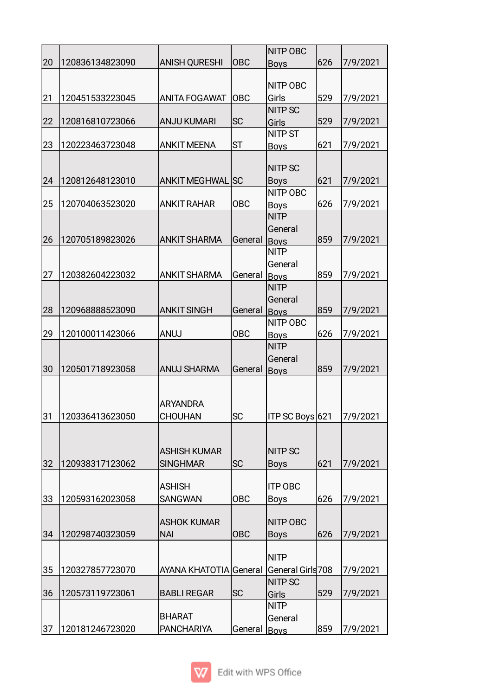|    |                    |                         |            | <b>NITP OBC</b>         |     |          |
|----|--------------------|-------------------------|------------|-------------------------|-----|----------|
| 20 | 120836134823090    | <b>ANISH QURESHI</b>    | <b>OBC</b> | <b>Boys</b>             | 626 | 7/9/2021 |
|    |                    |                         |            |                         |     |          |
|    |                    |                         |            | NITP OBC                |     |          |
| 21 | 120451533223045    | <b>ANITA FOGAWAT</b>    | <b>OBC</b> | Girls                   | 529 | 7/9/2021 |
|    |                    |                         | <b>SC</b>  | <b>NITP SC</b>          | 529 |          |
| 22 | 120816810723066    | <b>ANJU KUMARI</b>      |            | Girls<br><b>NITP ST</b> |     | 7/9/2021 |
| 23 | 120223463723048    | <b>ANKIT MEENA</b>      | <b>ST</b>  |                         | 621 | 7/9/2021 |
|    |                    |                         |            | <b>Boys</b>             |     |          |
|    |                    |                         |            | <b>NITP SC</b>          |     |          |
| 24 | 120812648123010    | <b>ANKIT MEGHWAL SC</b> |            | <b>Boys</b>             | 621 | 7/9/2021 |
|    |                    |                         |            | NITP OBC                |     |          |
| 25 | 120704063523020    | <b>ANKIT RAHAR</b>      | <b>OBC</b> | <b>Boys</b>             | 626 | 7/9/2021 |
|    |                    |                         |            | <b>NITP</b>             |     |          |
|    |                    |                         |            | General                 |     |          |
| 26 | 120705189823026    | <b>ANKIT SHARMA</b>     | General    | <b>Boys</b>             | 859 | 7/9/2021 |
|    |                    |                         |            | <b>NITP</b>             |     |          |
|    |                    |                         |            | General                 |     |          |
| 27 | 120382604223032    | <b>ANKIT SHARMA</b>     | General    | <b>Boys</b>             | 859 | 7/9/2021 |
|    |                    |                         |            | <b>NITP</b>             |     |          |
|    |                    |                         |            | General                 |     |          |
| 28 | 120968888523090    | <b>ANKIT SINGH</b>      | General    | Boys                    | 859 | 7/9/2021 |
|    |                    |                         |            | <b>NITP OBC</b>         |     |          |
| 29 | 120100011423066    | <b>ANUJ</b>             | OBC        | <b>Boys</b>             | 626 | 7/9/2021 |
|    |                    |                         |            | <b>NITP</b>             |     |          |
|    |                    |                         |            | General                 |     |          |
| 30 | 120501718923058    | <b>ANUJ SHARMA</b>      | General    | <b>Boys</b>             | 859 | 7/9/2021 |
|    |                    |                         |            |                         |     |          |
|    |                    |                         |            |                         |     |          |
|    |                    | <b>ARYANDRA</b>         |            |                         |     |          |
|    | 31 120336413623050 | <b>CHOUHAN</b>          | SC         | ITP SC Boys 621         |     | 7/9/2021 |
|    |                    |                         |            |                         |     |          |
|    |                    |                         |            |                         |     |          |
|    |                    | <b>ASHISH KUMAR</b>     |            | <b>NITP SC</b>          |     |          |
| 32 | 120938317123062    | <b>SINGHMAR</b>         | <b>SC</b>  | <b>Boys</b>             | 621 | 7/9/2021 |
|    |                    | <b>ASHISH</b>           |            | <b>ITP OBC</b>          |     |          |
| 33 | 120593162023058    | <b>SANGWAN</b>          | <b>OBC</b> | <b>Boys</b>             | 626 | 7/9/2021 |
|    |                    |                         |            |                         |     |          |
|    |                    | <b>ASHOK KUMAR</b>      |            | NITP OBC                |     |          |
| 34 | 120298740323059    | <b>NAI</b>              | <b>OBC</b> | <b>Boys</b>             | 626 | 7/9/2021 |
|    |                    |                         |            |                         |     |          |
|    |                    |                         |            | <b>NITP</b>             |     |          |
| 35 | 120327857723070    | AYANA KHATOTIA General  |            | General Girls 708       |     | 7/9/2021 |
|    |                    |                         |            | <b>NITP SC</b>          |     |          |
| 36 | 120573119723061    | <b>BABLI REGAR</b>      | <b>SC</b>  | Girls                   | 529 | 7/9/2021 |
|    |                    |                         |            | <b>NITP</b>             |     |          |
|    |                    | <b>BHARAT</b>           |            | General                 |     |          |
| 37 | 120181246723020    | <b>PANCHARIYA</b>       | General    | Boys                    | 859 | 7/9/2021 |

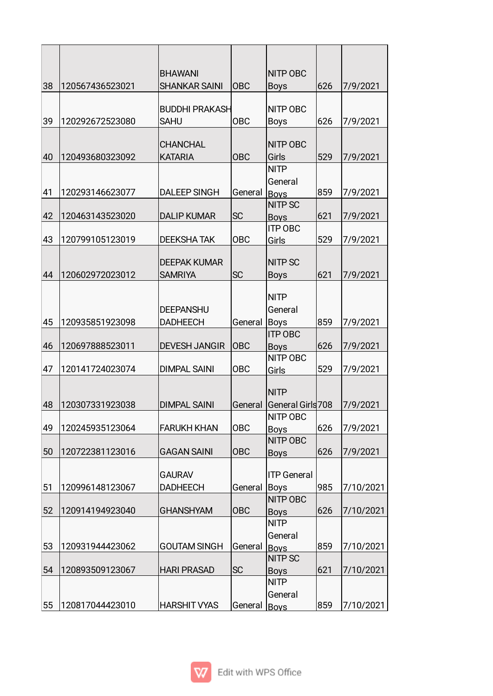| 38 | 120567436523021 | <b>BHAWANI</b><br><b>SHANKAR SAINI</b> | <b>OBC</b> | <b>NITP OBC</b><br><b>Boys</b> | 626 | 7/9/2021  |
|----|-----------------|----------------------------------------|------------|--------------------------------|-----|-----------|
|    |                 | <b>BUDDHI PRAKASH</b>                  |            | NITP OBC                       |     |           |
| 39 | 120292672523080 | <b>SAHU</b>                            | <b>OBC</b> | <b>Boys</b>                    | 626 | 7/9/2021  |
|    |                 |                                        |            |                                |     |           |
|    |                 | <b>CHANCHAL</b>                        |            | NITP OBC                       |     |           |
| 40 | 120493680323092 | <b>KATARIA</b>                         | <b>OBC</b> | Girls                          | 529 | 7/9/2021  |
|    |                 |                                        |            | <b>NITP</b>                    |     |           |
|    |                 |                                        |            | General                        | 859 |           |
| 41 | 120293146623077 | <b>DALEEP SINGH</b>                    | General    | <b>Boys</b><br><b>NITP SC</b>  |     | 7/9/2021  |
| 42 | 120463143523020 | <b>DALIP KUMAR</b>                     | <b>SC</b>  |                                | 621 | 7/9/2021  |
|    |                 |                                        |            | <b>Boys</b><br><b>ITP OBC</b>  |     |           |
| 43 | 120799105123019 | <b>DEEKSHATAK</b>                      | <b>OBC</b> | Girls                          | 529 | 7/9/2021  |
|    |                 |                                        |            |                                |     |           |
|    |                 | <b>DEEPAK KUMAR</b>                    |            | <b>NITP SC</b>                 |     |           |
| 44 | 120602972023012 | <b>SAMRIYA</b>                         | <b>SC</b>  | <b>Boys</b>                    | 621 | 7/9/2021  |
|    |                 |                                        |            |                                |     |           |
|    |                 |                                        |            | <b>NITP</b>                    |     |           |
|    |                 | <b>DEEPANSHU</b>                       |            | General                        |     |           |
| 45 | 120935851923098 | <b>DADHEECH</b>                        | General    | <b>Boys</b>                    | 859 | 7/9/2021  |
|    |                 |                                        |            | <b>ITP OBC</b>                 |     |           |
| 46 | 120697888523011 | <b>DEVESH JANGIR</b>                   | <b>OBC</b> | <b>Boys</b>                    | 626 | 7/9/2021  |
|    |                 |                                        |            | <b>NITP OBC</b>                |     |           |
| 47 | 120141724023074 | <b>DIMPAL SAINI</b>                    | <b>OBC</b> | Girls                          | 529 | 7/9/2021  |
|    |                 |                                        |            |                                |     |           |
|    |                 |                                        |            | <b>NITP</b>                    |     |           |
| 48 | 120307331923038 | <b>DIMPAL SAINI</b>                    | General    | General Girls 708              |     | 7/9/2021  |
|    |                 |                                        |            | <b>NITP OBC</b>                |     |           |
| 49 | 120245935123064 | <b>FARUKH KHAN</b>                     | <b>OBC</b> | <b>Boys</b>                    | 626 | 7/9/2021  |
|    |                 |                                        |            | <b>NITP OBC</b>                |     |           |
| 50 | 120722381123016 | <b>GAGAN SAINI</b>                     | <b>OBC</b> | <b>Boys</b>                    | 626 | 7/9/2021  |
|    |                 |                                        |            |                                |     |           |
|    |                 | <b>GAURAV</b>                          |            | <b>ITP General</b>             |     |           |
| 51 | 120996148123067 | <b>DADHEECH</b>                        | General    | <b>Boys</b>                    | 985 | 7/10/2021 |
|    |                 |                                        |            | <b>NITP OBC</b>                |     |           |
| 52 | 120914194923040 | <b>GHANSHYAM</b>                       | <b>OBC</b> | <b>Boys</b>                    | 626 | 7/10/2021 |
|    |                 |                                        |            | <b>NITP</b>                    |     |           |
|    |                 |                                        |            | General                        |     |           |
| 53 | 120931944423062 | <b>GOUTAM SINGH</b>                    | General    | <b>Boys</b>                    | 859 | 7/10/2021 |
|    |                 |                                        | <b>SC</b>  | <b>NITP SC</b>                 | 621 |           |
| 54 | 120893509123067 | <b>HARI PRASAD</b>                     |            | <b>Boys</b>                    |     | 7/10/2021 |
|    |                 |                                        |            | <b>NITP</b>                    |     |           |
| 55 | 120817044423010 | <b>HARSHIT VYAS</b>                    |            | General                        | 859 | 7/10/2021 |
|    |                 |                                        | General    | <b>Boys</b>                    |     |           |

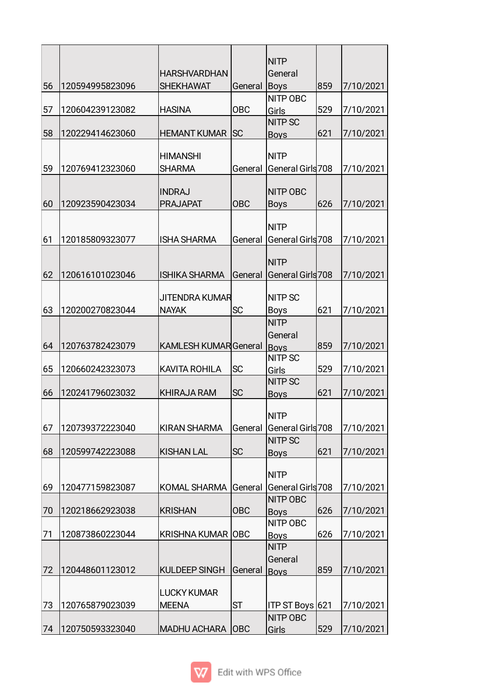|    |                 |                          |            | <b>NITP</b>                         |     |           |
|----|-----------------|--------------------------|------------|-------------------------------------|-----|-----------|
|    |                 | <b>HARSHVARDHAN</b>      |            | General                             |     |           |
| 56 | 120594995823096 | <b>SHEKHAWAT</b>         | General    | Boys                                | 859 | 7/10/2021 |
|    |                 |                          |            | NITP OBC                            |     |           |
| 57 | 120604239123082 | <b>HASINA</b>            | <b>OBC</b> | Girls                               | 529 | 7/10/2021 |
|    |                 |                          |            | <b>NITP SC</b>                      |     |           |
| 58 | 120229414623060 | <b>HEMANT KUMAR</b>      | <b>SC</b>  | <b>Boys</b>                         | 621 | 7/10/2021 |
|    |                 | <b>HIMANSHI</b>          |            | <b>NITP</b>                         |     |           |
| 59 | 120769412323060 | <b>SHARMA</b>            | General    | General Girls 708                   |     | 7/10/2021 |
|    |                 |                          |            |                                     |     |           |
|    |                 | <b>INDRAJ</b>            |            | <b>NITP OBC</b>                     |     |           |
| 60 | 120923590423034 | <b>PRAJAPAT</b>          | <b>OBC</b> | <b>Boys</b>                         | 626 | 7/10/2021 |
|    |                 |                          |            |                                     |     |           |
|    |                 |                          |            | <b>NITP</b>                         |     |           |
| 61 | 120185809323077 | <b>ISHA SHARMA</b>       | General    | General Girls 708                   |     | 7/10/2021 |
|    |                 |                          |            | <b>NITP</b>                         |     |           |
| 62 | 120616101023046 | <b>ISHIKA SHARMA</b>     | General    | General Girls 708                   |     | 7/10/2021 |
|    |                 |                          |            |                                     |     |           |
|    |                 | JITENDRA KUMAR           |            | <b>NITP SC</b>                      |     |           |
| 63 | 120200270823044 | <b>NAYAK</b>             | <b>SC</b>  | <b>Boys</b>                         | 621 | 7/10/2021 |
|    |                 |                          |            | <b>NITP</b>                         |     |           |
|    |                 |                          |            | General                             |     |           |
| 64 | 120763782423079 | KAMLESH KUMARGeneral     |            | <b>Boys</b>                         | 859 | 7/10/2021 |
|    |                 |                          |            | <b>NITP SC</b>                      |     |           |
| 65 | 120660242323073 | <b>KAVITA ROHILA</b>     | lsc        | Girls                               | 529 | 7/10/2021 |
|    |                 |                          |            | <b>NITP SC</b>                      |     |           |
| 66 | 120241796023032 | <b>KHIRAJA RAM</b>       | <b>SC</b>  | <b>Boys</b>                         | 621 | 7/10/2021 |
|    |                 |                          |            | <b>NITP</b>                         |     |           |
| 67 | 120739372223040 | <b>KIRAN SHARMA</b>      |            |                                     |     |           |
|    |                 |                          | General    | General Girls 708<br><b>NITP SC</b> |     | 7/10/2021 |
| 68 | 120599742223088 | <b>KISHAN LAL</b>        | <b>SC</b>  | <b>Boys</b>                         | 621 | 7/10/2021 |
|    |                 |                          |            |                                     |     |           |
|    |                 |                          |            | <b>NITP</b>                         |     |           |
| 69 | 120477159823087 | <b>KOMAL SHARMA</b>      | General    | General Girls 708                   |     | 7/10/2021 |
|    |                 |                          |            | <b>NITP OBC</b>                     |     |           |
| 70 | 120218662923038 | <b>KRISHAN</b>           | <b>OBC</b> | <b>Boys</b>                         | 626 | 7/10/2021 |
|    |                 |                          |            | NITP OBC                            |     |           |
| 71 | 120873860223044 | <b>KRISHNA KUMAR OBC</b> |            | <b>Boys</b>                         | 626 | 7/10/2021 |
|    |                 |                          |            | <b>NITP</b>                         |     |           |
|    |                 |                          |            | General                             |     |           |
| 72 | 120448601123012 | <b>KULDEEP SINGH</b>     | General    | <b>Boys</b>                         | 859 | 7/10/2021 |
|    |                 |                          |            |                                     |     |           |
|    |                 | <b>LUCKY KUMAR</b>       |            |                                     |     |           |
| 73 | 120765879023039 | <b>MEENA</b>             | <b>ST</b>  | ITP ST Boys 621                     |     | 7/10/2021 |
|    |                 |                          |            | <b>NITP OBC</b>                     |     |           |
| 74 | 120750593323040 | <b>MADHU ACHARA</b>      | OBC        | Girls                               | 529 | 7/10/2021 |

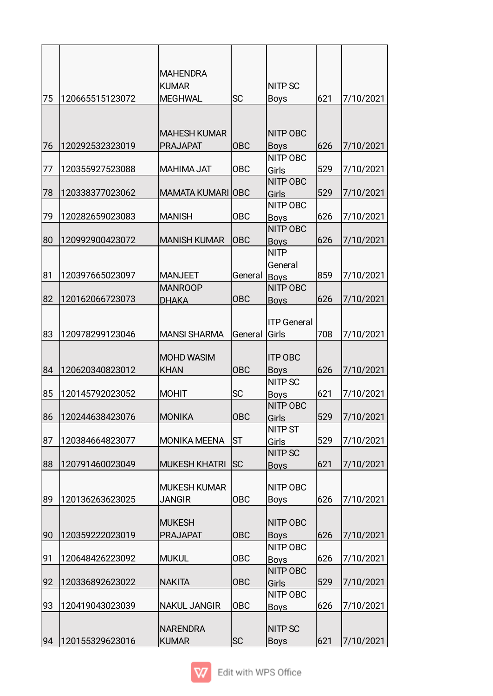|    |                 | <b>MAHENDRA</b>                      |            | <b>NITP SC</b>                                |     |           |
|----|-----------------|--------------------------------------|------------|-----------------------------------------------|-----|-----------|
| 75 | 120665515123072 | <b>KUMAR</b><br><b>MEGHWAL</b>       | <b>SC</b>  |                                               | 621 |           |
|    |                 | <b>MAHESH KUMAR</b>                  |            | <b>Boys</b><br><b>NITP OBC</b>                |     | 7/10/2021 |
| 76 | 120292532323019 | <b>PRAJAPAT</b>                      | <b>OBC</b> | <b>Boys</b>                                   | 626 | 7/10/2021 |
| 77 | 120355927523088 | <b>MAHIMA JAT</b>                    | <b>OBC</b> | <b>NITP OBC</b><br>Girls                      | 529 | 7/10/2021 |
| 78 | 120338377023062 | <b>MAMATA KUMARI OBC</b>             |            | <b>NITP OBC</b><br>Girls                      | 529 | 7/10/2021 |
| 79 | 120282659023083 | <b>MANISH</b>                        | <b>OBC</b> | <b>NITP OBC</b><br><b>Boys</b>                | 626 | 7/10/2021 |
| 80 | 120992900423072 | <b>MANISH KUMAR</b>                  | <b>OBC</b> | <b>NITP OBC</b><br><b>Boys</b><br><b>NITP</b> | 626 | 7/10/2021 |
| 81 | 120397665023097 | <b>MANJEET</b>                       | General    | General<br>Boys                               | 859 | 7/10/2021 |
|    |                 | <b>MANROOP</b>                       |            | <b>NITP OBC</b>                               |     |           |
| 82 | 120162066723073 | <b>DHAKA</b>                         | <b>OBC</b> | <b>Boys</b>                                   | 626 | 7/10/2021 |
| 83 | 120978299123046 | <b>MANSI SHARMA</b>                  | General    | <b>ITP General</b><br>Girls                   | 708 | 7/10/2021 |
| 84 | 120620340823012 | <b>MOHD WASIM</b><br><b>KHAN</b>     | <b>OBC</b> | <b>ITP OBC</b><br><b>Boys</b>                 | 626 | 7/10/2021 |
| 85 | 120145792023052 | <b>MOHIT</b>                         | <b>SC</b>  | <b>NITP SC</b><br><b>Boys</b>                 | 621 | 7/10/2021 |
| 86 | 120244638423076 | <b>MONIKA</b>                        | OBC        | <b>NITP OBC</b><br>Girls                      | 529 | 7/10/2021 |
| 87 | 120384664823077 | <b>MONIKA MEENA</b>                  | ST         | <b>NITP ST</b><br>Girls                       | 529 | 7/10/2021 |
| 88 | 120791460023049 | <b>MUKESH KHATRI</b>                 | lsc        | <b>NITP SC</b><br><b>Boys</b>                 | 621 | 7/10/2021 |
| 89 | 120136263623025 | <b>MUKESH KUMAR</b><br><b>JANGIR</b> | <b>OBC</b> | NITP OBC<br><b>Boys</b>                       | 626 | 7/10/2021 |
| 90 | 120359222023019 | <b>MUKESH</b><br><b>PRAJAPAT</b>     | <b>OBC</b> | NITP OBC<br><b>Boys</b>                       | 626 | 7/10/2021 |
| 91 | 120648426223092 | <b>MUKUL</b>                         | <b>OBC</b> | NITP OBC<br><b>Boys</b>                       | 626 | 7/10/2021 |
| 92 | 120336892623022 | <b>NAKITA</b>                        | <b>OBC</b> | NITP OBC<br>Girls                             | 529 | 7/10/2021 |
| 93 | 120419043023039 | <b>NAKUL JANGIR</b>                  | <b>OBC</b> | NITP OBC<br><b>Boys</b>                       | 626 | 7/10/2021 |
| 94 | 120155329623016 | <b>NARENDRA</b><br><b>KUMAR</b>      | SC         | <b>NITP SC</b><br><b>Boys</b>                 | 621 | 7/10/2021 |

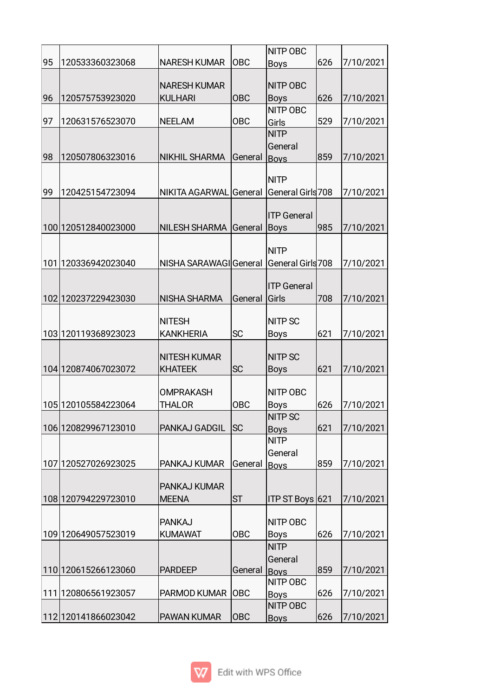| 95<br> OBC<br>626<br>120533360323068<br><b>NARESH KUMAR</b><br>7/10/2021<br><b>Boys</b><br><b>NARESH KUMAR</b><br><b>NITP OBC</b><br><b>KULHARI</b><br><b>OBC</b><br>96<br>120575753923020<br>626<br><b>Boys</b><br>7/10/2021<br><b>NITP OBC</b><br>97<br><b>OBC</b><br>120631576523070<br><b>NEELAM</b><br>529<br>7/10/2021<br>Girls<br><b>NITP</b><br>General<br>98<br>120507806323016<br><b>NIKHIL SHARMA</b><br>859<br>7/10/2021<br>General<br><b>Boys</b><br><b>NITP</b><br>General Girls 708<br>99<br>120425154723094<br>NIKITA AGARWAL General<br>7/10/2021<br><b>ITP General</b><br>100 120512840023000<br>NILESH SHARMA General<br>985<br>7/10/2021<br><b>Boys</b><br><b>NITP</b><br>101 120336942023040<br>NISHA SARAWAGI General<br>General Girls 708<br>7/10/2021<br><b>ITP General</b><br>102 120237229423030<br><b>NISHA SHARMA</b><br>Girls<br>708<br>7/10/2021<br>General<br><b>NITP SC</b><br><b>NITESH</b><br><b>SC</b><br>103 120119368923023<br><b>KANKHERIA</b><br>7/10/2021<br>621<br><b>Boys</b><br><b>NITP SC</b><br><b>NITESH KUMAR</b><br><b>SC</b><br>104 120874067023072<br><b>KHATEEK</b><br>621<br>7/10/2021<br><b>Boys</b><br>NITP OBC<br><b>OMPRAKASH</b><br>105 120105584223064<br><b>THALOR</b><br>OBC<br>626<br>7/10/2021<br><b>Boys</b><br><b>NITP SC</b><br> SC<br>621<br>106 120829967123010<br><b>PANKAJ GADGIL</b><br>7/10/2021<br><b>Boys</b><br><b>NITP</b><br>General<br>107 120527026923025<br>859<br>7/10/2021<br>PANKAJ KUMAR<br>General<br><b>Boys</b><br><b>PANKAJ KUMAR</b><br><b>ST</b><br>108 120794229723010<br>ITP ST Boys 621<br><b>MEENA</b><br>7/10/2021<br><b>PANKAJ</b><br>NITP OBC<br><b>OBC</b><br>109 120649057523019<br><b>KUMAWAT</b><br>626<br>7/10/2021<br><b>Boys</b><br><b>NITP</b><br>General<br>110 120615266123060<br><b>PARDEEP</b><br>859<br>General<br>7/10/2021<br><b>Boys</b><br>NITP OBC<br><b>OBC</b><br>111 120806561923057<br>PARMOD KUMAR<br>626<br>7/10/2021<br><b>Boys</b><br><b>NITP OBC</b><br>112 120141866023042<br><b>PAWAN KUMAR</b><br><b>OBC</b><br>626<br>7/10/2021<br><b>Boys</b> |  |  | NITP OBC |  |
|-------------------------------------------------------------------------------------------------------------------------------------------------------------------------------------------------------------------------------------------------------------------------------------------------------------------------------------------------------------------------------------------------------------------------------------------------------------------------------------------------------------------------------------------------------------------------------------------------------------------------------------------------------------------------------------------------------------------------------------------------------------------------------------------------------------------------------------------------------------------------------------------------------------------------------------------------------------------------------------------------------------------------------------------------------------------------------------------------------------------------------------------------------------------------------------------------------------------------------------------------------------------------------------------------------------------------------------------------------------------------------------------------------------------------------------------------------------------------------------------------------------------------------------------------------------------------------------------------------------------------------------------------------------------------------------------------------------------------------------------------------------------------------------------------------------------------------------------------------------------------------------------------------------------------------------------------------------------------------------------------------------------------------------------------------------------------------|--|--|----------|--|
|                                                                                                                                                                                                                                                                                                                                                                                                                                                                                                                                                                                                                                                                                                                                                                                                                                                                                                                                                                                                                                                                                                                                                                                                                                                                                                                                                                                                                                                                                                                                                                                                                                                                                                                                                                                                                                                                                                                                                                                                                                                                               |  |  |          |  |
|                                                                                                                                                                                                                                                                                                                                                                                                                                                                                                                                                                                                                                                                                                                                                                                                                                                                                                                                                                                                                                                                                                                                                                                                                                                                                                                                                                                                                                                                                                                                                                                                                                                                                                                                                                                                                                                                                                                                                                                                                                                                               |  |  |          |  |
|                                                                                                                                                                                                                                                                                                                                                                                                                                                                                                                                                                                                                                                                                                                                                                                                                                                                                                                                                                                                                                                                                                                                                                                                                                                                                                                                                                                                                                                                                                                                                                                                                                                                                                                                                                                                                                                                                                                                                                                                                                                                               |  |  |          |  |
|                                                                                                                                                                                                                                                                                                                                                                                                                                                                                                                                                                                                                                                                                                                                                                                                                                                                                                                                                                                                                                                                                                                                                                                                                                                                                                                                                                                                                                                                                                                                                                                                                                                                                                                                                                                                                                                                                                                                                                                                                                                                               |  |  |          |  |
|                                                                                                                                                                                                                                                                                                                                                                                                                                                                                                                                                                                                                                                                                                                                                                                                                                                                                                                                                                                                                                                                                                                                                                                                                                                                                                                                                                                                                                                                                                                                                                                                                                                                                                                                                                                                                                                                                                                                                                                                                                                                               |  |  |          |  |
|                                                                                                                                                                                                                                                                                                                                                                                                                                                                                                                                                                                                                                                                                                                                                                                                                                                                                                                                                                                                                                                                                                                                                                                                                                                                                                                                                                                                                                                                                                                                                                                                                                                                                                                                                                                                                                                                                                                                                                                                                                                                               |  |  |          |  |
|                                                                                                                                                                                                                                                                                                                                                                                                                                                                                                                                                                                                                                                                                                                                                                                                                                                                                                                                                                                                                                                                                                                                                                                                                                                                                                                                                                                                                                                                                                                                                                                                                                                                                                                                                                                                                                                                                                                                                                                                                                                                               |  |  |          |  |
|                                                                                                                                                                                                                                                                                                                                                                                                                                                                                                                                                                                                                                                                                                                                                                                                                                                                                                                                                                                                                                                                                                                                                                                                                                                                                                                                                                                                                                                                                                                                                                                                                                                                                                                                                                                                                                                                                                                                                                                                                                                                               |  |  |          |  |
|                                                                                                                                                                                                                                                                                                                                                                                                                                                                                                                                                                                                                                                                                                                                                                                                                                                                                                                                                                                                                                                                                                                                                                                                                                                                                                                                                                                                                                                                                                                                                                                                                                                                                                                                                                                                                                                                                                                                                                                                                                                                               |  |  |          |  |
|                                                                                                                                                                                                                                                                                                                                                                                                                                                                                                                                                                                                                                                                                                                                                                                                                                                                                                                                                                                                                                                                                                                                                                                                                                                                                                                                                                                                                                                                                                                                                                                                                                                                                                                                                                                                                                                                                                                                                                                                                                                                               |  |  |          |  |
|                                                                                                                                                                                                                                                                                                                                                                                                                                                                                                                                                                                                                                                                                                                                                                                                                                                                                                                                                                                                                                                                                                                                                                                                                                                                                                                                                                                                                                                                                                                                                                                                                                                                                                                                                                                                                                                                                                                                                                                                                                                                               |  |  |          |  |
|                                                                                                                                                                                                                                                                                                                                                                                                                                                                                                                                                                                                                                                                                                                                                                                                                                                                                                                                                                                                                                                                                                                                                                                                                                                                                                                                                                                                                                                                                                                                                                                                                                                                                                                                                                                                                                                                                                                                                                                                                                                                               |  |  |          |  |
|                                                                                                                                                                                                                                                                                                                                                                                                                                                                                                                                                                                                                                                                                                                                                                                                                                                                                                                                                                                                                                                                                                                                                                                                                                                                                                                                                                                                                                                                                                                                                                                                                                                                                                                                                                                                                                                                                                                                                                                                                                                                               |  |  |          |  |
|                                                                                                                                                                                                                                                                                                                                                                                                                                                                                                                                                                                                                                                                                                                                                                                                                                                                                                                                                                                                                                                                                                                                                                                                                                                                                                                                                                                                                                                                                                                                                                                                                                                                                                                                                                                                                                                                                                                                                                                                                                                                               |  |  |          |  |
|                                                                                                                                                                                                                                                                                                                                                                                                                                                                                                                                                                                                                                                                                                                                                                                                                                                                                                                                                                                                                                                                                                                                                                                                                                                                                                                                                                                                                                                                                                                                                                                                                                                                                                                                                                                                                                                                                                                                                                                                                                                                               |  |  |          |  |
|                                                                                                                                                                                                                                                                                                                                                                                                                                                                                                                                                                                                                                                                                                                                                                                                                                                                                                                                                                                                                                                                                                                                                                                                                                                                                                                                                                                                                                                                                                                                                                                                                                                                                                                                                                                                                                                                                                                                                                                                                                                                               |  |  |          |  |
|                                                                                                                                                                                                                                                                                                                                                                                                                                                                                                                                                                                                                                                                                                                                                                                                                                                                                                                                                                                                                                                                                                                                                                                                                                                                                                                                                                                                                                                                                                                                                                                                                                                                                                                                                                                                                                                                                                                                                                                                                                                                               |  |  |          |  |
|                                                                                                                                                                                                                                                                                                                                                                                                                                                                                                                                                                                                                                                                                                                                                                                                                                                                                                                                                                                                                                                                                                                                                                                                                                                                                                                                                                                                                                                                                                                                                                                                                                                                                                                                                                                                                                                                                                                                                                                                                                                                               |  |  |          |  |
|                                                                                                                                                                                                                                                                                                                                                                                                                                                                                                                                                                                                                                                                                                                                                                                                                                                                                                                                                                                                                                                                                                                                                                                                                                                                                                                                                                                                                                                                                                                                                                                                                                                                                                                                                                                                                                                                                                                                                                                                                                                                               |  |  |          |  |
|                                                                                                                                                                                                                                                                                                                                                                                                                                                                                                                                                                                                                                                                                                                                                                                                                                                                                                                                                                                                                                                                                                                                                                                                                                                                                                                                                                                                                                                                                                                                                                                                                                                                                                                                                                                                                                                                                                                                                                                                                                                                               |  |  |          |  |
|                                                                                                                                                                                                                                                                                                                                                                                                                                                                                                                                                                                                                                                                                                                                                                                                                                                                                                                                                                                                                                                                                                                                                                                                                                                                                                                                                                                                                                                                                                                                                                                                                                                                                                                                                                                                                                                                                                                                                                                                                                                                               |  |  |          |  |
|                                                                                                                                                                                                                                                                                                                                                                                                                                                                                                                                                                                                                                                                                                                                                                                                                                                                                                                                                                                                                                                                                                                                                                                                                                                                                                                                                                                                                                                                                                                                                                                                                                                                                                                                                                                                                                                                                                                                                                                                                                                                               |  |  |          |  |
|                                                                                                                                                                                                                                                                                                                                                                                                                                                                                                                                                                                                                                                                                                                                                                                                                                                                                                                                                                                                                                                                                                                                                                                                                                                                                                                                                                                                                                                                                                                                                                                                                                                                                                                                                                                                                                                                                                                                                                                                                                                                               |  |  |          |  |
|                                                                                                                                                                                                                                                                                                                                                                                                                                                                                                                                                                                                                                                                                                                                                                                                                                                                                                                                                                                                                                                                                                                                                                                                                                                                                                                                                                                                                                                                                                                                                                                                                                                                                                                                                                                                                                                                                                                                                                                                                                                                               |  |  |          |  |
|                                                                                                                                                                                                                                                                                                                                                                                                                                                                                                                                                                                                                                                                                                                                                                                                                                                                                                                                                                                                                                                                                                                                                                                                                                                                                                                                                                                                                                                                                                                                                                                                                                                                                                                                                                                                                                                                                                                                                                                                                                                                               |  |  |          |  |
|                                                                                                                                                                                                                                                                                                                                                                                                                                                                                                                                                                                                                                                                                                                                                                                                                                                                                                                                                                                                                                                                                                                                                                                                                                                                                                                                                                                                                                                                                                                                                                                                                                                                                                                                                                                                                                                                                                                                                                                                                                                                               |  |  |          |  |
|                                                                                                                                                                                                                                                                                                                                                                                                                                                                                                                                                                                                                                                                                                                                                                                                                                                                                                                                                                                                                                                                                                                                                                                                                                                                                                                                                                                                                                                                                                                                                                                                                                                                                                                                                                                                                                                                                                                                                                                                                                                                               |  |  |          |  |
|                                                                                                                                                                                                                                                                                                                                                                                                                                                                                                                                                                                                                                                                                                                                                                                                                                                                                                                                                                                                                                                                                                                                                                                                                                                                                                                                                                                                                                                                                                                                                                                                                                                                                                                                                                                                                                                                                                                                                                                                                                                                               |  |  |          |  |
|                                                                                                                                                                                                                                                                                                                                                                                                                                                                                                                                                                                                                                                                                                                                                                                                                                                                                                                                                                                                                                                                                                                                                                                                                                                                                                                                                                                                                                                                                                                                                                                                                                                                                                                                                                                                                                                                                                                                                                                                                                                                               |  |  |          |  |
|                                                                                                                                                                                                                                                                                                                                                                                                                                                                                                                                                                                                                                                                                                                                                                                                                                                                                                                                                                                                                                                                                                                                                                                                                                                                                                                                                                                                                                                                                                                                                                                                                                                                                                                                                                                                                                                                                                                                                                                                                                                                               |  |  |          |  |
|                                                                                                                                                                                                                                                                                                                                                                                                                                                                                                                                                                                                                                                                                                                                                                                                                                                                                                                                                                                                                                                                                                                                                                                                                                                                                                                                                                                                                                                                                                                                                                                                                                                                                                                                                                                                                                                                                                                                                                                                                                                                               |  |  |          |  |
|                                                                                                                                                                                                                                                                                                                                                                                                                                                                                                                                                                                                                                                                                                                                                                                                                                                                                                                                                                                                                                                                                                                                                                                                                                                                                                                                                                                                                                                                                                                                                                                                                                                                                                                                                                                                                                                                                                                                                                                                                                                                               |  |  |          |  |
|                                                                                                                                                                                                                                                                                                                                                                                                                                                                                                                                                                                                                                                                                                                                                                                                                                                                                                                                                                                                                                                                                                                                                                                                                                                                                                                                                                                                                                                                                                                                                                                                                                                                                                                                                                                                                                                                                                                                                                                                                                                                               |  |  |          |  |
|                                                                                                                                                                                                                                                                                                                                                                                                                                                                                                                                                                                                                                                                                                                                                                                                                                                                                                                                                                                                                                                                                                                                                                                                                                                                                                                                                                                                                                                                                                                                                                                                                                                                                                                                                                                                                                                                                                                                                                                                                                                                               |  |  |          |  |
|                                                                                                                                                                                                                                                                                                                                                                                                                                                                                                                                                                                                                                                                                                                                                                                                                                                                                                                                                                                                                                                                                                                                                                                                                                                                                                                                                                                                                                                                                                                                                                                                                                                                                                                                                                                                                                                                                                                                                                                                                                                                               |  |  |          |  |
|                                                                                                                                                                                                                                                                                                                                                                                                                                                                                                                                                                                                                                                                                                                                                                                                                                                                                                                                                                                                                                                                                                                                                                                                                                                                                                                                                                                                                                                                                                                                                                                                                                                                                                                                                                                                                                                                                                                                                                                                                                                                               |  |  |          |  |
|                                                                                                                                                                                                                                                                                                                                                                                                                                                                                                                                                                                                                                                                                                                                                                                                                                                                                                                                                                                                                                                                                                                                                                                                                                                                                                                                                                                                                                                                                                                                                                                                                                                                                                                                                                                                                                                                                                                                                                                                                                                                               |  |  |          |  |
|                                                                                                                                                                                                                                                                                                                                                                                                                                                                                                                                                                                                                                                                                                                                                                                                                                                                                                                                                                                                                                                                                                                                                                                                                                                                                                                                                                                                                                                                                                                                                                                                                                                                                                                                                                                                                                                                                                                                                                                                                                                                               |  |  |          |  |
|                                                                                                                                                                                                                                                                                                                                                                                                                                                                                                                                                                                                                                                                                                                                                                                                                                                                                                                                                                                                                                                                                                                                                                                                                                                                                                                                                                                                                                                                                                                                                                                                                                                                                                                                                                                                                                                                                                                                                                                                                                                                               |  |  |          |  |
|                                                                                                                                                                                                                                                                                                                                                                                                                                                                                                                                                                                                                                                                                                                                                                                                                                                                                                                                                                                                                                                                                                                                                                                                                                                                                                                                                                                                                                                                                                                                                                                                                                                                                                                                                                                                                                                                                                                                                                                                                                                                               |  |  |          |  |
|                                                                                                                                                                                                                                                                                                                                                                                                                                                                                                                                                                                                                                                                                                                                                                                                                                                                                                                                                                                                                                                                                                                                                                                                                                                                                                                                                                                                                                                                                                                                                                                                                                                                                                                                                                                                                                                                                                                                                                                                                                                                               |  |  |          |  |
|                                                                                                                                                                                                                                                                                                                                                                                                                                                                                                                                                                                                                                                                                                                                                                                                                                                                                                                                                                                                                                                                                                                                                                                                                                                                                                                                                                                                                                                                                                                                                                                                                                                                                                                                                                                                                                                                                                                                                                                                                                                                               |  |  |          |  |
|                                                                                                                                                                                                                                                                                                                                                                                                                                                                                                                                                                                                                                                                                                                                                                                                                                                                                                                                                                                                                                                                                                                                                                                                                                                                                                                                                                                                                                                                                                                                                                                                                                                                                                                                                                                                                                                                                                                                                                                                                                                                               |  |  |          |  |
|                                                                                                                                                                                                                                                                                                                                                                                                                                                                                                                                                                                                                                                                                                                                                                                                                                                                                                                                                                                                                                                                                                                                                                                                                                                                                                                                                                                                                                                                                                                                                                                                                                                                                                                                                                                                                                                                                                                                                                                                                                                                               |  |  |          |  |
|                                                                                                                                                                                                                                                                                                                                                                                                                                                                                                                                                                                                                                                                                                                                                                                                                                                                                                                                                                                                                                                                                                                                                                                                                                                                                                                                                                                                                                                                                                                                                                                                                                                                                                                                                                                                                                                                                                                                                                                                                                                                               |  |  |          |  |
|                                                                                                                                                                                                                                                                                                                                                                                                                                                                                                                                                                                                                                                                                                                                                                                                                                                                                                                                                                                                                                                                                                                                                                                                                                                                                                                                                                                                                                                                                                                                                                                                                                                                                                                                                                                                                                                                                                                                                                                                                                                                               |  |  |          |  |
|                                                                                                                                                                                                                                                                                                                                                                                                                                                                                                                                                                                                                                                                                                                                                                                                                                                                                                                                                                                                                                                                                                                                                                                                                                                                                                                                                                                                                                                                                                                                                                                                                                                                                                                                                                                                                                                                                                                                                                                                                                                                               |  |  |          |  |

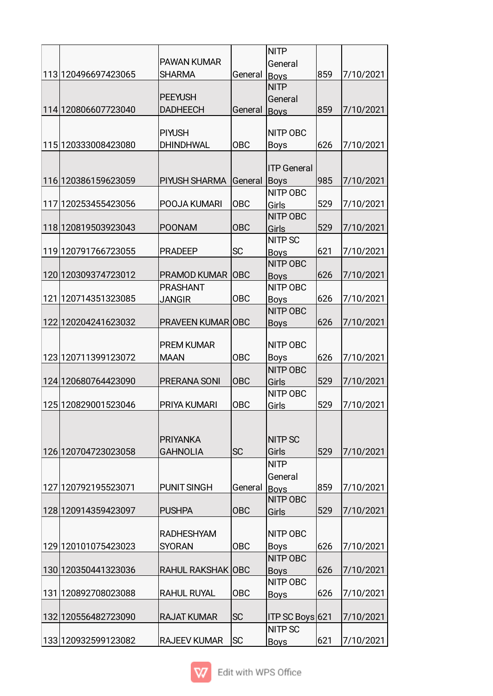|                       |                          |            | <b>NITP</b>        |     |           |
|-----------------------|--------------------------|------------|--------------------|-----|-----------|
|                       | <b>PAWAN KUMAR</b>       |            | General            |     |           |
| 113 120496697423065   | <b>SHARMA</b>            | General    | <b>Boys</b>        | 859 | 7/10/2021 |
|                       |                          |            | <b>NITP</b>        |     |           |
|                       | <b>PEEYUSH</b>           |            | General            |     |           |
| 114 120806607723040   | <b>DADHEECH</b>          | General    | <b>Boys</b>        | 859 | 7/10/2021 |
|                       |                          |            |                    |     |           |
|                       | <b>PIYUSH</b>            |            | NITP OBC           |     |           |
| 115 120333008423080   | <b>DHINDHWAL</b>         | OBC        | <b>Boys</b>        | 626 | 7/10/2021 |
|                       |                          |            |                    |     |           |
|                       |                          |            | <b>ITP</b> General |     |           |
| 116 120386159623059   | PIYUSH SHARMA            | General    | Boys               | 985 | 7/10/2021 |
|                       |                          |            | <b>NITP OBC</b>    |     |           |
| 117 120253455423056   | POOJA KUMARI             | <b>OBC</b> | Girls              | 529 | 7/10/2021 |
|                       |                          |            | <b>NITP OBC</b>    |     |           |
| 118 120819503923043   | <b>POONAM</b>            | <b>OBC</b> | Girls              | 529 | 7/10/2021 |
|                       |                          |            | <b>NITP SC</b>     |     |           |
| 119 120791766723055   | <b>PRADEEP</b>           | <b>SC</b>  | <b>Boys</b>        | 621 | 7/10/2021 |
|                       |                          |            | <b>NITP OBC</b>    |     |           |
| 120 120309374723012   | <b>PRAMOD KUMAR OBC</b>  |            | <b>Boys</b>        | 626 | 7/10/2021 |
|                       | <b>PRASHANT</b>          |            | <b>NITP OBC</b>    |     |           |
| 121 120714351323085   | <b>JANGIR</b>            | <b>OBC</b> | <b>Boys</b>        | 626 | 7/10/2021 |
|                       |                          |            | <b>NITP OBC</b>    |     |           |
| 122 120204241623032   | <b>PRAVEEN KUMAR OBC</b> |            | <b>Boys</b>        | 626 | 7/10/2021 |
|                       |                          |            |                    |     |           |
|                       | <b>PREM KUMAR</b>        |            | <b>NITP OBC</b>    |     |           |
| 123 120711399123072   | <b>MAAN</b>              | <b>OBC</b> | <b>Boys</b>        | 626 | 7/10/2021 |
|                       |                          |            | <b>NITP OBC</b>    |     |           |
| 124 120680764423090   | PRERANA SONI             | <b>OBC</b> | Girls              | 529 | 7/10/2021 |
|                       |                          |            | <b>NITP OBC</b>    |     |           |
| 125 120829001523046   | PRIYA KUMARI             | <b>OBC</b> | Girls              | 529 | 7/10/2021 |
|                       |                          |            |                    |     |           |
|                       |                          |            |                    |     |           |
|                       | <b>PRIYANKA</b>          |            | <b>NITP SC</b>     |     |           |
| 126 120704723023058   | <b>GAHNOLIA</b>          | <b>SC</b>  | Girls              | 529 | 7/10/2021 |
|                       |                          |            | <b>NITP</b>        |     |           |
|                       |                          |            | General            |     |           |
| 127 12079 21955 23071 | <b>PUNIT SINGH</b>       | General    | <b>Boys</b>        | 859 | 7/10/2021 |
|                       |                          |            | NITP OBC           |     |           |
| 128 120914359423097   | <b>PUSHPA</b>            | <b>OBC</b> | Girls              | 529 | 7/10/2021 |
|                       |                          |            |                    |     |           |
|                       | <b>RADHESHYAM</b>        |            | NITP OBC           |     |           |
| 129 120101075423023   | <b>SYORAN</b>            | <b>OBC</b> | <b>Boys</b>        | 626 | 7/10/2021 |
|                       |                          |            | <b>NITP OBC</b>    |     |           |
| 130 120350441323036   | RAHUL RAKSHAK OBC        |            | <b>Boys</b>        | 626 | 7/10/2021 |
|                       |                          |            | <b>NITP OBC</b>    |     |           |
| 131 120892708023088   | <b>RAHUL RUYAL</b>       | <b>OBC</b> |                    | 626 | 7/10/2021 |
|                       |                          |            | <b>Boys</b>        |     |           |
| 132 120556482723090   | <b>RAJAT KUMAR</b>       | <b>SC</b>  | ITP SC Boys 621    |     | 7/10/2021 |
|                       |                          |            | <b>NITP SC</b>     |     |           |
| 133 120932599123082   | <b>RAJEEV KUMAR</b>      | lsc        |                    | 621 | 7/10/2021 |
|                       |                          |            | <b>Boys</b>        |     |           |

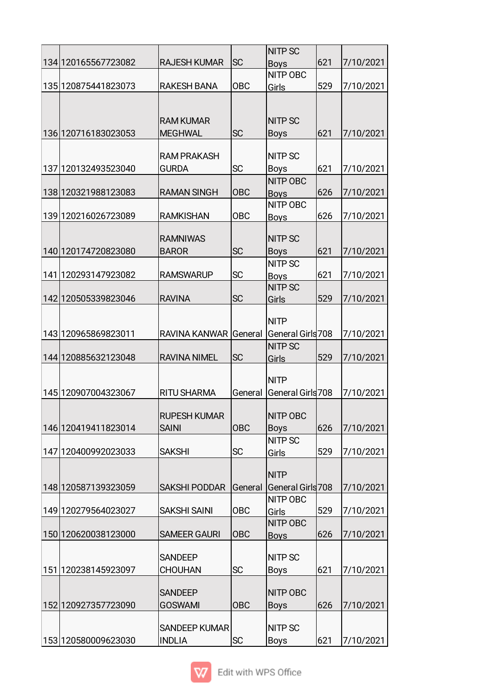|                     |                                       |            | <b>NITP SC</b>                |     |           |
|---------------------|---------------------------------------|------------|-------------------------------|-----|-----------|
| 134 120165567723082 | <b>RAJESH KUMAR</b>                   | lsc        | <b>Boys</b>                   | 621 | 7/10/2021 |
|                     |                                       |            | <b>NITP OBC</b>               |     |           |
| 135 120875441823073 | <b>RAKESH BANA</b>                    | <b>OBC</b> | Girls                         | 529 | 7/10/2021 |
|                     |                                       |            |                               |     |           |
|                     |                                       |            |                               |     |           |
|                     | <b>RAM KUMAR</b>                      |            | <b>NITP SC</b>                |     |           |
| 136 120716183023053 | <b>MEGHWAL</b>                        | <b>SC</b>  | <b>Boys</b>                   | 621 | 7/10/2021 |
|                     |                                       |            |                               |     |           |
|                     | <b>RAM PRAKASH</b>                    |            | <b>NITP SC</b>                |     |           |
| 137 120132493523040 | <b>GURDA</b>                          | <b>SC</b>  | <b>Boys</b>                   | 621 | 7/10/2021 |
|                     |                                       |            | <b>NITP OBC</b>               |     |           |
| 138 120321988123083 | <b>RAMAN SINGH</b>                    | <b>OBC</b> | <b>Boys</b>                   | 626 | 7/10/2021 |
|                     |                                       |            | <b>NITP OBC</b>               |     |           |
| 139 120216026723089 | <b>RAMKISHAN</b>                      | <b>OBC</b> | <b>Boys</b>                   | 626 | 7/10/2021 |
|                     |                                       |            |                               |     |           |
|                     | <b>RAMNIWAS</b>                       |            | <b>NITP SC</b>                |     |           |
| 140 120174720823080 | <b>BAROR</b>                          | <b>SC</b>  | <b>Boys</b>                   | 621 | 7/10/2021 |
|                     |                                       |            | <b>NITP SC</b>                |     |           |
| 141 120293147923082 | <b>RAMSWARUP</b>                      | <b>SC</b>  | <b>Boys</b>                   | 621 | 7/10/2021 |
|                     |                                       |            | <b>NITP SC</b>                |     |           |
| 142 120505339823046 | <b>RAVINA</b>                         | <b>SC</b>  | Girls                         | 529 | 7/10/2021 |
|                     |                                       |            |                               |     |           |
|                     |                                       |            | <b>NITP</b>                   |     |           |
| 143 120965869823011 | RAVINA KANWAR General                 |            | General Girls 708             |     | 7/10/2021 |
|                     |                                       |            | <b>NITP SC</b>                |     |           |
|                     |                                       |            |                               |     |           |
| 144 120885632123048 | <b>RAVINA NIMEL</b>                   | <b>SC</b>  | Girls                         | 529 | 7/10/2021 |
|                     |                                       |            |                               |     |           |
|                     |                                       |            | <b>NITP</b>                   |     |           |
| 145 120907004323067 | <b>RITU SHARMA</b>                    | General    | General Girls 708             |     | 7/10/2021 |
|                     |                                       |            |                               |     |           |
|                     | <b>RUPESH KUMAR</b>                   |            | <b>NITP OBC</b>               |     |           |
| 146 120419411823014 | <b>SAINI</b>                          | <b>OBC</b> | <b>Boys</b>                   | 626 | 7/10/2021 |
|                     |                                       |            | <b>NITP SC</b>                |     |           |
| 147 120400992023033 | <b>SAKSHI</b>                         | <b>SC</b>  | Girls                         | 529 | 7/10/2021 |
|                     |                                       |            |                               |     |           |
|                     |                                       |            | <b>NITP</b>                   |     |           |
| 148 120587139323059 | <b>SAKSHI PODDAR</b>                  | General    | General Girls 708             |     | 7/10/2021 |
|                     |                                       |            | NITP OBC                      |     |           |
| 149 120279564023027 | <b>SAKSHI SAINI</b>                   | <b>OBC</b> | Girls                         | 529 | 7/10/2021 |
|                     |                                       |            | <b>NITP OBC</b>               |     |           |
| 150 120620038123000 | <b>SAMEER GAURI</b>                   | OBC        | <b>Boys</b>                   | 626 | 7/10/2021 |
|                     |                                       |            |                               |     |           |
|                     | <b>SANDEEP</b>                        |            | <b>NITP SC</b>                |     |           |
| 151 120238145923097 | <b>CHOUHAN</b>                        | <b>SC</b>  | Boys                          | 621 | 7/10/2021 |
|                     |                                       |            |                               |     |           |
|                     | <b>SANDEEP</b>                        |            | <b>NITP OBC</b>               |     |           |
| 152 120927357723090 | <b>GOSWAMI</b>                        | <b>OBC</b> | <b>Boys</b>                   | 626 | 7/10/2021 |
|                     |                                       |            |                               |     |           |
| 153 120580009623030 | <b>SANDEEP KUMAR</b><br><b>INDLIA</b> | <b>SC</b>  | <b>NITP SC</b><br><b>Boys</b> | 621 | 7/10/2021 |

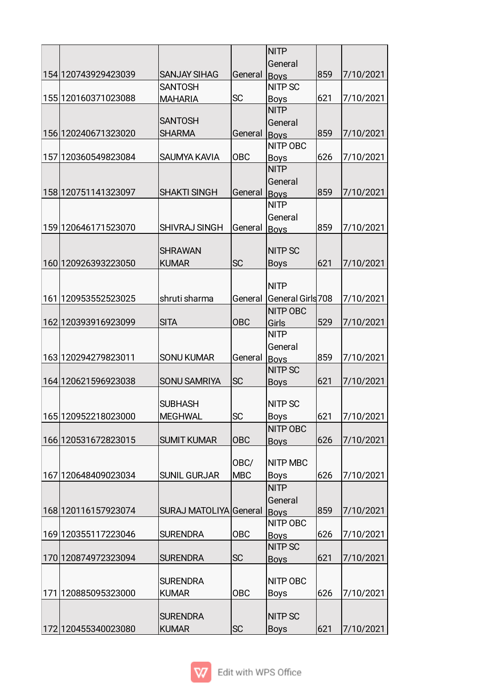|                       |                        |            | <b>NITP</b>                |     |           |
|-----------------------|------------------------|------------|----------------------------|-----|-----------|
|                       |                        |            | General                    |     |           |
| 154 120743929423039   | <b>SANJAY SIHAG</b>    | General    | Boys                       | 859 | 7/10/2021 |
| 155 120160371023088   | <b>SANTOSH</b>         | <b>SC</b>  | <b>NITP SC</b>             | 621 | 7/10/2021 |
|                       | <b>MAHARIA</b>         |            | <b>Boys</b><br><b>NITP</b> |     |           |
|                       | <b>SANTOSH</b>         |            | General                    |     |           |
| 156 120240671323020   | <b>SHARMA</b>          | General    | <b>Bovs</b>                | 859 | 7/10/2021 |
|                       |                        |            | NITP OBC                   |     |           |
| 157 120360549823084   | SAUMYA KAVIA           | <b>OBC</b> | <b>Boys</b>                | 626 | 7/10/2021 |
|                       |                        |            | <b>NITP</b>                |     |           |
|                       |                        |            | General                    |     |           |
| 158 120751141323097   | <b>SHAKTI SINGH</b>    | General    | <b>Boys</b>                | 859 | 7/10/2021 |
|                       |                        |            | <b>NITP</b>                |     |           |
|                       |                        |            | General                    |     |           |
| 159 120646171523070   | <b>SHIVRAJ SINGH</b>   | General    | <b>Boys</b>                | 859 | 7/10/2021 |
|                       |                        |            |                            |     |           |
|                       | <b>SHRAWAN</b>         |            | <b>NITP SC</b>             |     |           |
| 160 1209 2639 3223050 | <b>KUMAR</b>           | <b>SC</b>  | <b>Boys</b>                | 621 | 7/10/2021 |
|                       |                        |            | <b>NITP</b>                |     |           |
| 161 120953552523025   | shruti sharma          | General    | General Girls 708          |     | 7/10/2021 |
|                       |                        |            | NITP OBC                   |     |           |
| 162 120393916923099   | <b>SITA</b>            | <b>OBC</b> | Girls                      | 529 | 7/10/2021 |
|                       |                        |            | <b>NITP</b>                |     |           |
|                       |                        |            | General                    |     |           |
| 163 120294279823011   | <b>SONU KUMAR</b>      | General    | <b>Boys</b>                | 859 | 7/10/2021 |
|                       |                        |            | <b>NITP SC</b>             |     |           |
| 164 120621596923038   | <b>SONU SAMRIYA</b>    | <b>SC</b>  | <b>Boys</b>                | 621 | 7/10/2021 |
|                       |                        |            |                            |     |           |
|                       | <b>SUBHASH</b>         |            | <b>NITP SC</b>             |     |           |
| 165 120952218023000   | IMEGHWAL               | ΙSC        | <b>Boys</b>                | 621 | 7/10/2021 |
|                       |                        |            | NITP OBC                   |     |           |
| 166 120531672823015   | <b>SUMIT KUMAR</b>     | <b>OBC</b> | <b>Boys</b>                | 626 | 7/10/2021 |
|                       |                        |            |                            |     |           |
|                       | <b>SUNIL GURJAR</b>    | OBC/       | <b>NITP MBC</b>            |     |           |
| 167 120648409023034   |                        | <b>MBC</b> | Boys<br><b>NITP</b>        | 626 | 7/10/2021 |
|                       |                        |            |                            |     |           |
| 168 120116157923074   | SURAJ MATOLIYA General |            | General<br><b>Boys</b>     | 859 | 7/10/2021 |
|                       |                        |            | NITP OBC                   |     |           |
| 169 120355117223046   | <b>SURENDRA</b>        | <b>OBC</b> | <b>Boys</b>                | 626 | 7/10/2021 |
|                       |                        |            | <b>NITP SC</b>             |     |           |
| 170 120874972323094   | <b>SURENDRA</b>        | <b>SC</b>  | <b>Boys</b>                | 621 | 7/10/2021 |
|                       |                        |            |                            |     |           |
|                       | <b>SURENDRA</b>        |            | <b>NITP OBC</b>            |     |           |
| 171 120885095323000   | <b>KUMAR</b>           | <b>OBC</b> | <b>Boys</b>                | 626 | 7/10/2021 |
|                       |                        |            |                            |     |           |
|                       | <b>SURENDRA</b>        |            | <b>NITP SC</b>             |     |           |
| 172 120455340023080   | <b>KUMAR</b>           | <b>SC</b>  | <b>Boys</b>                | 621 | 7/10/2021 |

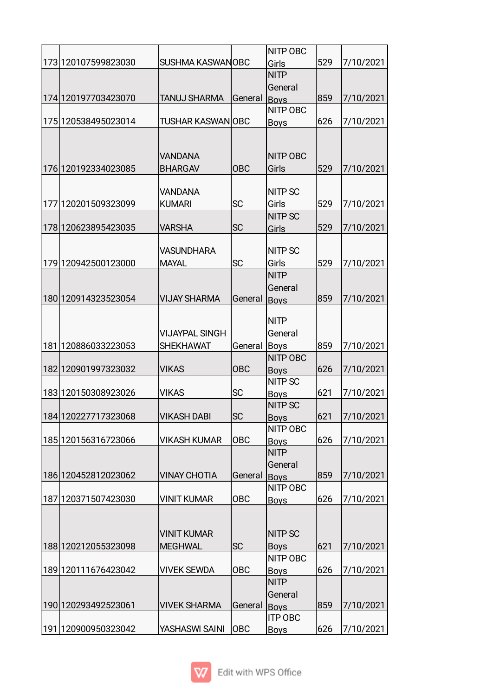|     |                         |                         |            | <b>NITP OBC</b>         |     |           |
|-----|-------------------------|-------------------------|------------|-------------------------|-----|-----------|
|     | 173 120107599823030     | <b>SUSHMA KASWANOBC</b> |            | Girls                   | 529 | 7/10/2021 |
|     |                         |                         |            | <b>NITP</b>             |     |           |
|     |                         |                         |            | General                 |     |           |
|     | 174 120197703423070     | <b>TANUJ SHARMA</b>     | General    | <b>Boys</b>             | 859 | 7/10/2021 |
|     |                         |                         |            | <b>NITP OBC</b>         |     |           |
|     | 175 120538495023014     | TUSHAR KASWAN OBC       |            | <b>Boys</b>             | 626 | 7/10/2021 |
|     |                         |                         |            |                         |     |           |
|     |                         |                         |            |                         |     |           |
|     |                         | <b>VANDANA</b>          |            | <b>NITP OBC</b>         |     |           |
|     | 176 120192334023085     | <b>BHARGAV</b>          | <b>OBC</b> | Girls                   | 529 | 7/10/2021 |
|     |                         |                         |            |                         |     |           |
|     |                         | <b>VANDANA</b>          |            | <b>NITP SC</b>          |     |           |
|     | 177 120201509323099     | <b>KUMARI</b>           | <b>SC</b>  | Girls                   | 529 | 7/10/2021 |
|     |                         |                         |            | <b>NITP SC</b>          |     |           |
|     | 178 120623895423035     | VARSHA                  | <b>SC</b>  | Girls                   | 529 | 7/10/2021 |
|     |                         |                         |            |                         |     |           |
|     |                         | <b>VASUNDHARA</b>       |            | <b>NITP SC</b>          |     |           |
|     | 179 120942500123000     | <b>MAYAL</b>            | SC         | Girls                   | 529 | 7/10/2021 |
|     |                         |                         |            | <b>NITP</b>             |     |           |
|     |                         |                         |            | General                 |     |           |
|     | 180 1209 143 235 230 54 | <b>VIJAY SHARMA</b>     | General    | <b>Boys</b>             | 859 | 7/10/2021 |
|     |                         |                         |            |                         |     |           |
|     |                         |                         |            | <b>NITP</b>             |     |           |
|     |                         | <b>VIJAYPAL SINGH</b>   |            | General                 |     |           |
| 181 | 120886033223053         | <b>SHEKHAWAT</b>        | General    | Boys                    | 859 | 7/10/2021 |
|     |                         |                         |            | <b>NITP OBC</b>         |     |           |
|     | 182 120901997323032     | <b>VIKAS</b>            | <b>OBC</b> | <b>Boys</b>             | 626 | 7/10/2021 |
|     |                         |                         |            | <b>NITP SC</b>          |     |           |
|     | 183 120150308923026     | <b>VIKAS</b>            | <b>SC</b>  | <b>Boys</b>             | 621 | 7/10/2021 |
|     |                         |                         |            | <b>NITP SC</b>          |     |           |
|     | 184 120227717323068     | <b>VIKASH DABI</b>      | <b>SC</b>  | <b>Boys</b>             | 621 | 7/10/2021 |
|     |                         |                         |            | NITP OBC                |     |           |
|     | 185 12015 6316723066    | <b>VIKASH KUMAR</b>     | <b>OBC</b> | <b>Boys</b>             | 626 | 7/10/2021 |
|     |                         |                         |            | <b>NITP</b>             |     |           |
|     | 186 120452812023062     | <b>VINAY CHOTIA</b>     |            | General                 | 859 |           |
|     |                         |                         | General    | <b>Boys</b><br>NITP OBC |     | 7/10/2021 |
|     | 187 120371507423030     | <b>VINIT KUMAR</b>      | <b>OBC</b> |                         | 626 | 7/10/2021 |
|     |                         |                         |            | <b>Boys</b>             |     |           |
|     |                         |                         |            |                         |     |           |
|     |                         | <b>VINIT KUMAR</b>      |            | <b>NITP SC</b>          |     |           |
|     | 188 120212055323098     | <b>MEGHWAL</b>          | <b>SC</b>  | <b>Boys</b>             | 621 | 7/10/2021 |
|     |                         |                         |            | NITP OBC                |     |           |
|     | 189 120111676423042     | VIVEK SEWDA             | <b>OBC</b> | <b>Boys</b>             | 626 | 7/10/2021 |
|     |                         |                         |            | <b>NITP</b>             |     |           |
|     |                         |                         |            | General                 |     |           |
|     | 190 120293492523061     | <b>VIVEK SHARMA</b>     | General    | <b>Boys</b>             | 859 | 7/10/2021 |
|     |                         |                         |            | <b>ITP OBC</b>          |     |           |
|     | 191 120900950323042     | YASHASWI SAINI          | OBC        | <b>Boys</b>             | 626 | 7/10/2021 |
|     |                         |                         |            |                         |     |           |